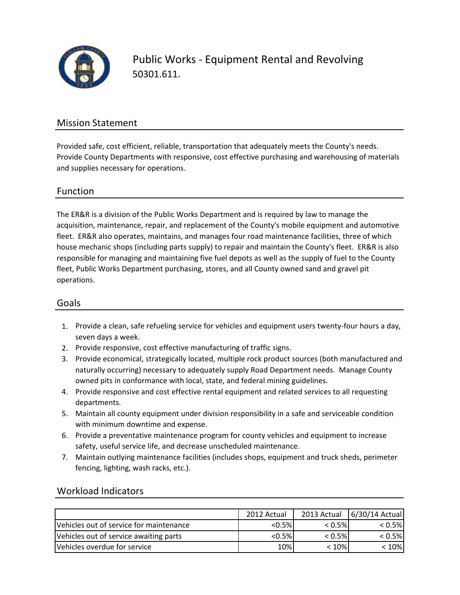

Public Works - Equipment Rental and Revolving 50301.611.

### Mission Statement

Provided safe, cost efficient, reliable, transportation that adequately meets the County's needs. Provide County Departments with responsive, cost effective purchasing and warehousing of materials and supplies necessary for operations.

### Function

The ER&R is a division of the Public Works Department and is required by law to manage the acquisition, maintenance, repair, and replacement of the County's mobile equipment and automotive fleet. ER&R also operates, maintains, and manages four road maintenance facilities, three of which house mechanic shops (including parts supply) to repair and maintain the County's fleet. ER&R is also responsible for managing and maintaining five fuel depots as well as the supply of fuel to the County fleet, Public Works Department purchasing, stores, and all County owned sand and gravel pit operations.

#### Goals

- 1. Provide a clean, safe refueling service for vehicles and equipment users twenty-four hours a day, seven days a week.
- 2. Provide responsive, cost effective manufacturing of traffic signs.
- 3. Provide economical, strategically located, multiple rock product sources (both manufactured and naturally occurring) necessary to adequately supply Road Department needs. Manage County owned pits in conformance with local, state, and federal mining guidelines.
- 4. Provide responsive and cost effective rental equipment and related services to all requesting departments.
- 5. Maintain all county equipment under division responsibility in a safe and serviceable condition with minimum downtime and expense.
- 6. Provide a preventative maintenance program for county vehicles and equipment to increase safety, useful service life, and decrease unscheduled maintenance.
- 7. Maintain outlying maintenance facilities (includes shops, equipment and truck sheds, perimeter fencing, lighting, wash racks, etc.).

### Workload Indicators

|                                         | 2012 Actual | 2013 Actual | $6/30/14$ Actual |
|-----------------------------------------|-------------|-------------|------------------|
| Vehicles out of service for maintenance | $< 0.5\%$   | $< 0.5\%$   | $< 0.5\%$        |
| Vehicles out of service awaiting parts  | $< 0.5\%$   | $< 0.5\%$   | $< 0.5\%$        |
| Vehicles overdue for service            | 10%         | $< 10\%$    | < 10%            |